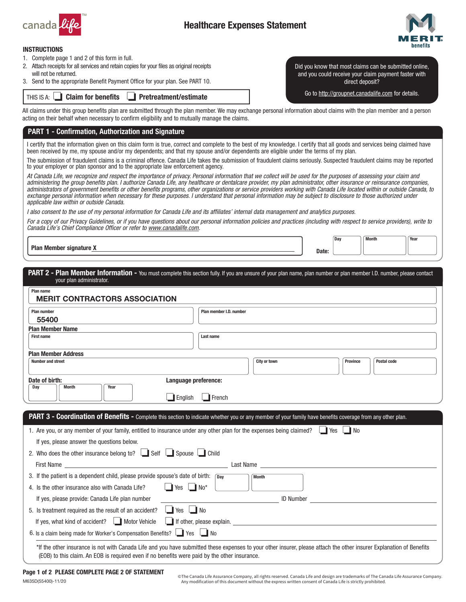

# Healthcare Expenses Statement



### INSTRUCTIONS

- 1. Complete page 1 and 2 of this form in full.
- 2. Attach receipts for all services and retain copies for your files as original receipts will not be returned.
- 3. Send to the appropriate Benefit Payment Office for your plan. See PART 10.

THIS IS A: **Solution** for benefits **Solution** Pretreatment/estimate

Did you know that most claims can be submitted online, and you could receive your claim payment faster with direct deposit?

Go to <http://groupnet.canadalife.com>for details.

All claims under this group benefits plan are submitted through the plan member. We may exchange personal information about claims with the plan member and a person acting on their behalf when necessary to confirm eligibility and to mutually manage the claims.

### PART 1 - Confirmation, Authorization and Signature

I certify that the information given on this claim form is true, correct and complete to the best of my knowledge. I certify that all goods and services being claimed have been received by me, my spouse and/or my dependents; and that my spouse and/or dependents are eligible under the terms of my plan.

The submission of fraudulent claims is a criminal offence. Canada Life takes the submission of fraudulent claims seriously. Suspected fraudulent claims may be reported to your employer or plan sponsor and to the appropriate law enforcement agency.

*At Canada Life, we recognize and respect the importance of privacy. Personal information that we collect will be used for the purposes of assessing your claim and administering the group benefits plan. I authorize Canada Life, any healthcare or dentalcare provider, my plan administrator, other insurance or reinsurance companies, administrators of government benefits or other benefits programs, other organizations or service providers working with Canada Life located within or outside Canada, to*  exchange personal information when necessary for these purposes. I understand that personal information may be subject to disclosure to those authorized under *applicable law within or outside Canada.* 

*I also consent to the use of my personal information for Canada Life and its affiliates' internal data management and analytics purposes.* 

*For a copy of our Privacy Guidelines, or if you have questions about our personal information policies and practices (including with respect to service providers), write to Canada Life's Chief Compliance Officer or refer to [www.canadalife.com](http://www.canadalife.com).* 

Plan Member signature X and the context of the context of the context of the context of the context of the context of the context of the context of the context of the context of the context of the context of the context of

Day Month Year

PART 2 - Plan Member Information - You must complete this section fully. If you are unsure of your plan name, plan number or plan member I.D. number, please contact your plan administrator.

| <b>Plan number</b>                                                                                              | Plan member I.D. number                                                                                                                                    |
|-----------------------------------------------------------------------------------------------------------------|------------------------------------------------------------------------------------------------------------------------------------------------------------|
| 55400                                                                                                           |                                                                                                                                                            |
| <b>Plan Member Name</b>                                                                                         |                                                                                                                                                            |
| <b>First name</b>                                                                                               | Last name                                                                                                                                                  |
| <b>Plan Member Address</b>                                                                                      |                                                                                                                                                            |
| <b>Number and street</b>                                                                                        | <b>City or town</b><br>Postal code<br><b>Province</b>                                                                                                      |
| Date of birth:                                                                                                  | Language preference:                                                                                                                                       |
|                                                                                                                 |                                                                                                                                                            |
| Year<br><b>Month</b>                                                                                            |                                                                                                                                                            |
| $\Box$ English                                                                                                  | $\Box$ French                                                                                                                                              |
| Day                                                                                                             | PART 3 - Coordination of Benefits - Complete this section to indicate whether you or any member of your family have benefits coverage from any other plan. |
|                                                                                                                 |                                                                                                                                                            |
|                                                                                                                 | 1. Are you, or any member of your family, entitled to insurance under any other plan for the expenses being claimed?                                       |
| If yes, please answer the questions below.                                                                      |                                                                                                                                                            |
| 2. Who does the other insurance belong to? Self Spouse Child                                                    |                                                                                                                                                            |
| First Name <b>Example 2018</b>                                                                                  | Last Name                                                                                                                                                  |
| 3. If the patient is a dependent child, please provide spouse's date of birth: $\sqrt{p_{av}}$                  | <b>Month</b>                                                                                                                                               |
| $\Box$ Yes $\Box$ No*<br>4. Is the other insurance also with Canada Life?                                       |                                                                                                                                                            |
| If yes, please provide: Canada Life plan number                                                                 | <b>ID Number</b>                                                                                                                                           |
| $\Box$ Yes $\Box$ No                                                                                            |                                                                                                                                                            |
| 5. Is treatment required as the result of an accident?<br>If yes, what kind of accident? <u>I</u> Motor Vehicle | $\Box$ If other, please explain.                                                                                                                           |

Page 1 of 2 PLEASE COMPLETE PAGE 2 OF STATEMENT

M635D(55400)-11/20

© The Canada Life Assurance Company, all rights reserved. Canada Life and design are trademarks of The Canada Life Assurance Company. Any modification of this document without the express written consent of Canada Life is strictly prohibited.